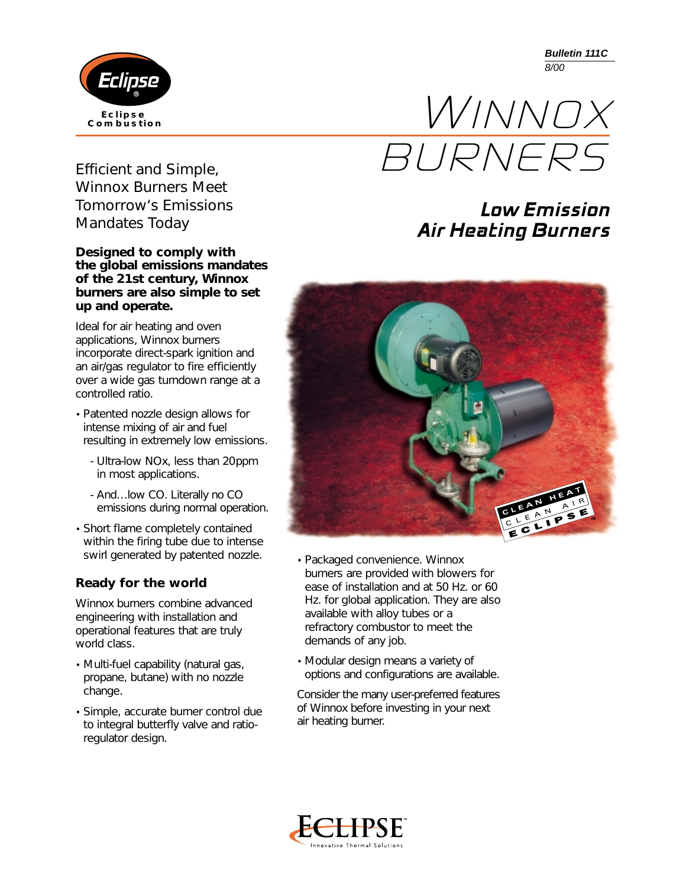Eclipse **Eclipse Combustion** **Bulletin 111C** *8/00*



## **Low Emission Air Heating Burners**



- Packaged convenience. Winnox burners are provided with blowers for ease of installation and at 50 Hz. or 60 Hz. for global application. They are also available with alloy tubes or a refractory combustor to meet the demands of any job.
- Modular design means a variety of options and configurations are available.

Consider the many user-preferred features of Winnox before investing in your next air heating burner.



*Efficient and Simple, Winnox Burners Meet Tomorrow's Emissions Mandates Today*

#### *Designed to comply with the global emissions mandates of the 21st century, Winnox burners are also simple to set up and operate.*

Ideal for air heating and oven applications, Winnox burners incorporate direct-spark ignition and an air/gas regulator to fire efficiently over a wide gas turndown range at a controlled ratio.

- Patented nozzle design allows for intense mixing of air and fuel resulting in extremely low emissions.
	- Ultra-low NOx, less than 20ppm in most applications.
	- And…low CO. Literally no CO emissions during normal operation.
- Short flame completely contained within the firing tube due to intense swirl generated by patented nozzle.

### *Ready for the world*

Winnox burners combine advanced engineering with installation and operational features that are truly world class.

- Multi-fuel capability (natural gas, propane, butane) with no nozzle change.
- Simple, accurate burner control due to integral butterfly valve and ratioregulator design.